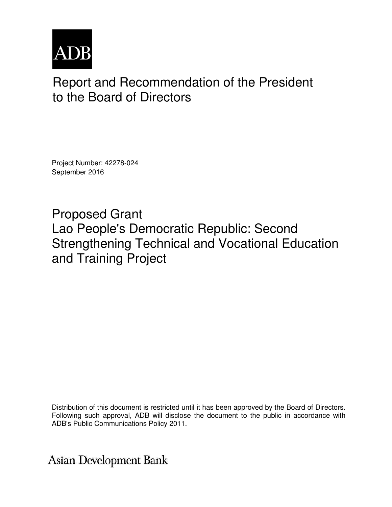

# Report and Recommendation of the President to the Board of Directors

Project Number: 42278-024 September 2016

Proposed Grant Lao People's Democratic Republic: Second Strengthening Technical and Vocational Education and Training Project

Distribution of this document is restricted until it has been approved by the Board of Directors. Following such approval, ADB will disclose the document to the public in accordance with ADB's Public Communications Policy 2011.

**Asian Development Bank**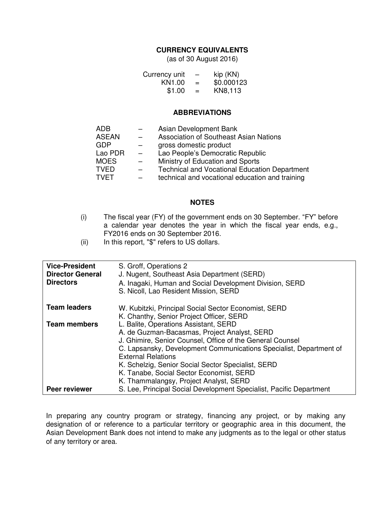#### **CURRENCY EQUIVALENTS**

(as of 30 August 2016)

| Currency unit      | $\qquad \qquad \longleftarrow$ | kip (KN)   |
|--------------------|--------------------------------|------------|
| KN <sub>1.00</sub> | $=$                            | \$0.000123 |
| \$1.00             | $=$                            | KN8,113    |

#### **ABBREVIATIONS**

| ADB          |     | Asian Development Bank                               |
|--------------|-----|------------------------------------------------------|
| <b>ASEAN</b> |     | Association of Southeast Asian Nations               |
| <b>GDP</b>   |     | gross domestic product                               |
| Lao PDR      | $-$ | Lao People's Democratic Republic                     |
| <b>MOES</b>  |     | Ministry of Education and Sports                     |
| <b>TVED</b>  |     | <b>Technical and Vocational Education Department</b> |
| TVET         |     | technical and vocational education and training      |

#### **NOTES**

- (i) The fiscal year (FY) of the government ends on 30 September. "FY" before a calendar year denotes the year in which the fiscal year ends, e.g., FY2016 ends on 30 September 2016.
- (ii) In this report, "\$" refers to US dollars.

| A. Inagaki, Human and Social Development Division, SERD                                                                         |
|---------------------------------------------------------------------------------------------------------------------------------|
| W. Kubitzki, Principal Social Sector Economist, SERD                                                                            |
| J. Ghimire, Senior Counsel, Office of the General Counsel<br>C. Lapsansky, Development Communications Specialist, Department of |
| S. Lee, Principal Social Development Specialist, Pacific Department                                                             |
|                                                                                                                                 |

In preparing any country program or strategy, financing any project, or by making any designation of or reference to a particular territory or geographic area in this document, the Asian Development Bank does not intend to make any judgments as to the legal or other status of any territory or area.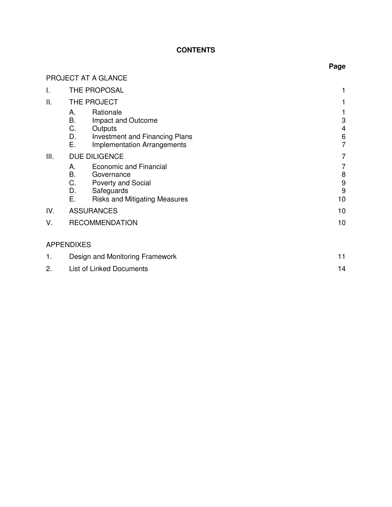# **CONTENTS**

**Page** 

|      | PROJECT AT A GLANCE                                                                                                                                          |                                         |
|------|--------------------------------------------------------------------------------------------------------------------------------------------------------------|-----------------------------------------|
| I.   | THE PROPOSAL                                                                                                                                                 |                                         |
| ΙΙ.  | THE PROJECT                                                                                                                                                  |                                         |
|      | Rationale<br>А.<br>В.<br>Impact and Outcome<br>C.<br>Outputs<br>D.<br><b>Investment and Financing Plans</b><br>Е.<br><b>Implementation Arrangements</b>      | 3<br>$\overline{\mathcal{A}}$<br>6<br>7 |
| III. | <b>DUE DILIGENCE</b>                                                                                                                                         | 7                                       |
|      | <b>Economic and Financial</b><br>А.<br>В.<br>Governance<br>C.<br><b>Poverty and Social</b><br>D.<br>Safeguards<br>Е.<br><b>Risks and Mitigating Measures</b> | 7<br>8<br>9<br>9<br>10                  |
| IV.  | <b>ASSURANCES</b>                                                                                                                                            | 10                                      |
| V.   | <b>RECOMMENDATION</b>                                                                                                                                        |                                         |
|      | <b>APPENDIXES</b>                                                                                                                                            |                                         |
| 1.   | Design and Monitoring Framework                                                                                                                              | 11                                      |
| 2.   | <b>List of Linked Documents</b>                                                                                                                              | 14                                      |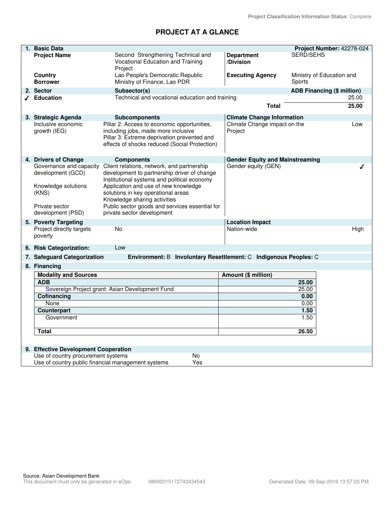# **PROJECT AT A GLANCE**

|    | 1. Basic Data                             |                                                                                    |                                                                   | Project Number: 42278-024         |
|----|-------------------------------------------|------------------------------------------------------------------------------------|-------------------------------------------------------------------|-----------------------------------|
|    | <b>Project Name</b>                       | Second Strengthening Technical and                                                 | <b>Department</b>                                                 | <b>SERD/SEHS</b>                  |
|    |                                           | Vocational Education and Training                                                  | /Division                                                         |                                   |
|    |                                           | Project                                                                            |                                                                   |                                   |
|    | Country                                   | Lao People's Democratic Republic                                                   | <b>Executing Agency</b>                                           | Ministry of Education and         |
|    | <b>Borrower</b>                           | Ministry of Finance, Lao PDR                                                       |                                                                   | Sports                            |
|    | 2. Sector                                 | Subsector(s)                                                                       |                                                                   | <b>ADB Financing (\$ million)</b> |
|    | ✔ Education                               | Technical and vocational education and training                                    |                                                                   | 25.00                             |
|    |                                           |                                                                                    | <b>Total</b>                                                      | 25.00                             |
|    |                                           |                                                                                    |                                                                   |                                   |
|    | 3. Strategic Agenda<br>Inclusive economic | <b>Subcomponents</b>                                                               | <b>Climate Change Information</b><br>Climate Change impact on the |                                   |
|    | growth (IEG)                              | Pillar 2: Access to economic opportunities,<br>including jobs, made more inclusive | Project                                                           | Low                               |
|    |                                           | Pillar 3: Extreme deprivation prevented and                                        |                                                                   |                                   |
|    |                                           | effects of shocks reduced (Social Protection)                                      |                                                                   |                                   |
|    |                                           |                                                                                    |                                                                   |                                   |
|    | 4. Drivers of Change                      | <b>Components</b>                                                                  | <b>Gender Equity and Mainstreaming</b>                            |                                   |
|    | Governance and capacity                   | Client relations, network, and partnership                                         | Gender equity (GEN)                                               |                                   |
|    | development (GCD)                         | development to partnership driver of change                                        |                                                                   |                                   |
|    |                                           | Institutional systems and political economy                                        |                                                                   |                                   |
|    | Knowledge solutions                       | Application and use of new knowledge                                               |                                                                   |                                   |
|    | (KNS)                                     | solutions in key operational areas                                                 |                                                                   |                                   |
|    |                                           | Knowledge sharing activities                                                       |                                                                   |                                   |
|    | Private sector                            | Public sector goods and services essential for                                     |                                                                   |                                   |
|    | development (PSD)                         | private sector development                                                         |                                                                   |                                   |
|    | 5. Poverty Targeting                      |                                                                                    | <b>Location Impact</b>                                            |                                   |
|    | Project directly targets                  | No                                                                                 | Nation-wide                                                       | High                              |
|    | poverty                                   |                                                                                    |                                                                   |                                   |
|    | 6. Risk Categorization:                   | Low                                                                                |                                                                   |                                   |
|    | 7. Safeguard Categorization               | Environment: B Involuntary Resettlement: C Indigenous Peoples: C                   |                                                                   |                                   |
|    | 8. Financing                              |                                                                                    |                                                                   |                                   |
|    | <b>Modality and Sources</b>               |                                                                                    | Amount (\$ million)                                               |                                   |
|    | <b>ADB</b>                                |                                                                                    |                                                                   | 25.00                             |
|    |                                           | Sovereign Project grant: Asian Development Fund                                    |                                                                   | 25.00                             |
|    | Cofinancing                               |                                                                                    |                                                                   | 0.00                              |
|    | None                                      |                                                                                    |                                                                   | 0.00                              |
|    | Counterpart                               |                                                                                    |                                                                   | 1.50                              |
|    | Government                                |                                                                                    |                                                                   | 1.50                              |
|    |                                           |                                                                                    |                                                                   |                                   |
|    | <b>Total</b>                              |                                                                                    |                                                                   | 26.50                             |
|    |                                           |                                                                                    |                                                                   |                                   |
| 9. | <b>Effective Development Cooperation</b>  |                                                                                    |                                                                   |                                   |
|    | Use of country procurement systems        | No                                                                                 |                                                                   |                                   |
|    |                                           | Use of country public financial management systems<br>Yes                          |                                                                   |                                   |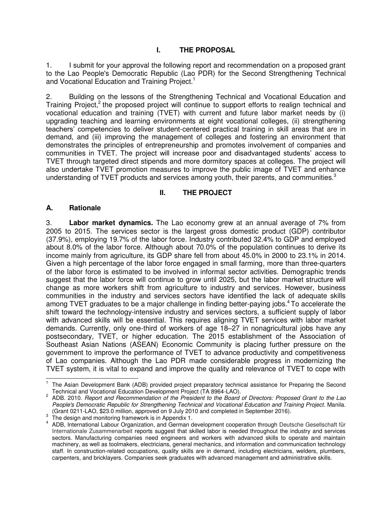# **I. THE PROPOSAL**

1. I submit for your approval the following report and recommendation on a proposed grant to the Lao People's Democratic Republic (Lao PDR) for the Second Strengthening Technical and Vocational Education and Training Project.<sup>1</sup>

2. Building on the lessons of the Strengthening Technical and Vocational Education and Training Project,<sup>2</sup> the proposed project will continue to support efforts to realign technical and vocational education and training (TVET) with current and future labor market needs by (i) upgrading teaching and learning environments at eight vocational colleges, (ii) strengthening teachers' competencies to deliver student-centered practical training in skill areas that are in demand, and (iii) improving the management of colleges and fostering an environment that demonstrates the principles of entrepreneurship and promotes involvement of companies and communities in TVET. The project will increase poor and disadvantaged students' access to TVET through targeted direct stipends and more dormitory spaces at colleges. The project will also undertake TVET promotion measures to improve the public image of TVET and enhance understanding of TVET products and services among youth, their parents, and communities. $3$ 

## **II. THE PROJECT**

#### **A. Rationale**

3. **Labor market dynamics.** The Lao economy grew at an annual average of 7% from 2005 to 2015. The services sector is the largest gross domestic product (GDP) contributor (37.9%), employing 19.7% of the labor force. Industry contributed 32.4% to GDP and employed about 8.0% of the labor force. Although about 70.0% of the population continues to derive its income mainly from agriculture, its GDP share fell from about 45.0% in 2000 to 23.1% in 2014. Given a high percentage of the labor force engaged in small farming, more than three-quarters of the labor force is estimated to be involved in informal sector activities. Demographic trends suggest that the labor force will continue to grow until 2025, but the labor market structure will change as more workers shift from agriculture to industry and services. However, business communities in the industry and services sectors have identified the lack of adequate skills among TVET graduates to be a major challenge in finding better-paying jobs.<sup>4</sup> To accelerate the shift toward the technology-intensive industry and services sectors, a sufficient supply of labor with advanced skills will be essential. This requires aligning TVET services with labor market demands. Currently, only one-third of workers of age 18–27 in nonagricultural jobs have any postsecondary, TVET, or higher education. The 2015 establishment of the Association of Southeast Asian Nations (ASEAN) Economic Community is placing further pressure on the government to improve the performance of TVET to advance productivity and competitiveness of Lao companies. Although the Lao PDR made considerable progress in modernizing the TVET system, it is vital to expand and improve the quality and relevance of TVET to cope with

 1 The Asian Development Bank (ADB) provided project preparatory technical assistance for Preparing the Second

Technical and Vocational Education Development Project (TA 8964-LAO). 2 ADB. 2010. *Report and Recommendation of the President to the Board of Directors: Proposed Grant to the Lao People's Democratic Republic for Strengthening Technical and Vocational Education and Training Project.* Manila. (Grant 0211-LAO, \$23.0 million, approved on 9 July 2010 and completed in September 2016). 3 The design and monitoring framework is in Appendix 1.

<sup>4</sup> ADB, International Labour Organization, and German development cooperation through Deutsche Gesellschaft für Internationale Zusammenarbeit reports suggest that skilled labor is needed throughout the industry and services sectors. Manufacturing companies need engineers and workers with advanced skills to operate and maintain machinery, as well as toolmakers, electricians, general mechanics, and information and communication technology staff. In construction-related occupations, quality skills are in demand, including electricians, welders, plumbers, carpenters, and bricklayers. Companies seek graduates with advanced management and administrative skills.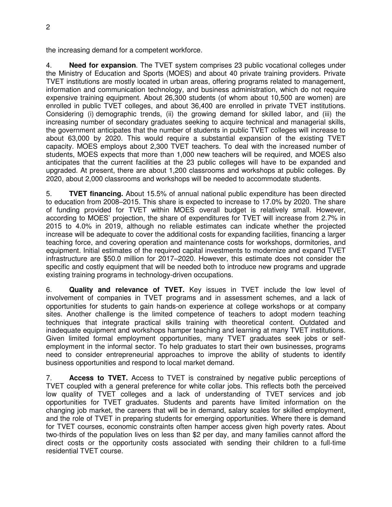the increasing demand for a competent workforce.

4. **Need for expansion**. The TVET system comprises 23 public vocational colleges under the Ministry of Education and Sports (MOES) and about 40 private training providers. Private TVET institutions are mostly located in urban areas, offering programs related to management, information and communication technology, and business administration, which do not require expensive training equipment. About 26,300 students (of whom about 10,500 are women) are enrolled in public TVET colleges, and about 36,400 are enrolled in private TVET institutions. Considering (i) demographic trends, (ii) the growing demand for skilled labor, and (iii) the increasing number of secondary graduates seeking to acquire technical and managerial skills, the government anticipates that the number of students in public TVET colleges will increase to about 63,000 by 2020. This would require a substantial expansion of the existing TVET capacity. MOES employs about 2,300 TVET teachers. To deal with the increased number of students, MOES expects that more than 1,000 new teachers will be required, and MOES also anticipates that the current facilities at the 23 public colleges will have to be expanded and upgraded. At present, there are about 1,200 classrooms and workshops at public colleges. By 2020, about 2,000 classrooms and workshops will be needed to accommodate students.

5. **TVET financing.** About 15.5% of annual national public expenditure has been directed to education from 2008–2015. This share is expected to increase to 17.0% by 2020. The share of funding provided for TVET within MOES overall budget is relatively small. However, according to MOES' projection, the share of expenditures for TVET will increase from 2.7% in 2015 to 4.0% in 2019, although no reliable estimates can indicate whether the projected increase will be adequate to cover the additional costs for expanding facilities, financing a larger teaching force, and covering operation and maintenance costs for workshops, dormitories, and equipment. Initial estimates of the required capital investments to modernize and expand TVET infrastructure are \$50.0 million for 2017–2020. However, this estimate does not consider the specific and costly equipment that will be needed both to introduce new programs and upgrade existing training programs in technology-driven occupations.

6. **Quality and relevance of TVET.** Key issues in TVET include the low level of involvement of companies in TVET programs and in assessment schemes, and a lack of opportunities for students to gain hands-on experience at college workshops or at company sites. Another challenge is the limited competence of teachers to adopt modern teaching techniques that integrate practical skills training with theoretical content. Outdated and inadequate equipment and workshops hamper teaching and learning at many TVET institutions. Given limited formal employment opportunities, many TVET graduates seek jobs or selfemployment in the informal sector. To help graduates to start their own businesses, programs need to consider entrepreneurial approaches to improve the ability of students to identify business opportunities and respond to local market demand.

7. **Access to TVET.** Access to TVET is constrained by negative public perceptions of TVET coupled with a general preference for white collar jobs. This reflects both the perceived low quality of TVET colleges and a lack of understanding of TVET services and job opportunities for TVET graduates. Students and parents have limited information on the changing job market, the careers that will be in demand, salary scales for skilled employment, and the role of TVET in preparing students for emerging opportunities. Where there is demand for TVET courses, economic constraints often hamper access given high poverty rates. About two-thirds of the population lives on less than \$2 per day, and many families cannot afford the direct costs or the opportunity costs associated with sending their children to a full-time residential TVET course.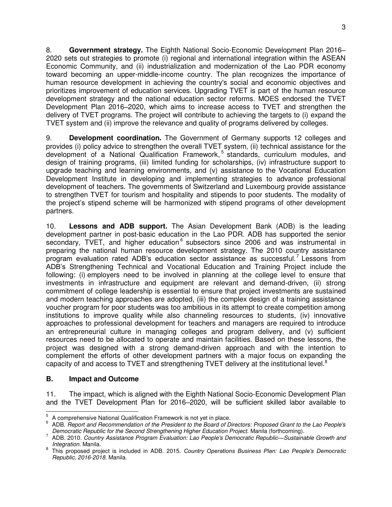8. **Government strategy.** The Eighth National Socio-Economic Development Plan 2016– 2020 sets out strategies to promote (i) regional and international integration within the ASEAN Economic Community, and (ii) industrialization and modernization of the Lao PDR economy toward becoming an upper-middle-income country. The plan recognizes the importance of human resource development in achieving the country's social and economic objectives and prioritizes improvement of education services. Upgrading TVET is part of the human resource development strategy and the national education sector reforms. MOES endorsed the TVET Development Plan 2016–2020, which aims to increase access to TVET and strengthen the delivery of TVET programs. The project will contribute to achieving the targets to (i) expand the TVET system and (ii) improve the relevance and quality of programs delivered by colleges.

9. **Development coordination.** The Government of Germany supports 12 colleges and provides (i) policy advice to strengthen the overall TVET system, (ii) technical assistance for the development of a National Qualification Framework,<sup>5</sup> standards, curriculum modules, and design of training programs, (iii) limited funding for scholarships, (iv) infrastructure support to upgrade teaching and learning environments, and (v) assistance to the Vocational Education Development Institute in developing and implementing strategies to advance professional development of teachers. The governments of Switzerland and Luxembourg provide assistance to strengthen TVET for tourism and hospitality and stipends to poor students. The modality of the project's stipend scheme will be harmonized with stipend programs of other development partners.

10. **Lessons and ADB support.** The Asian Development Bank (ADB) is the leading development partner in post-basic education in the Lao PDR. ADB has supported the senior secondary, TVET, and higher education<sup>6</sup> subsectors since 2006 and was instrumental in preparing the national human resource development strategy. The 2010 country assistance program evaluation rated ADB's education sector assistance as successful.<sup>7</sup> Lessons from ADB's Strengthening Technical and Vocational Education and Training Project include the following: (i) employers need to be involved in planning at the college level to ensure that investments in infrastructure and equipment are relevant and demand-driven, (ii) strong commitment of college leadership is essential to ensure that project investments are sustained and modern teaching approaches are adopted, (iii) the complex design of a training assistance voucher program for poor students was too ambitious in its attempt to create competition among institutions to improve quality while also channeling resources to students, (iv) innovative approaches to professional development for teachers and managers are required to introduce an entrepreneurial culture in managing colleges and program delivery, and (v) sufficient resources need to be allocated to operate and maintain facilities. Based on these lessons, the project was designed with a strong demand-driven approach and with the intention to complement the efforts of other development partners with a major focus on expanding the capacity of and access to TVET and strengthening TVET delivery at the institutional level.<sup>8</sup>

#### **B. Impact and Outcome**

11. The impact, which is aligned with the Eighth National Socio-Economic Development Plan and the TVET Development Plan for 2016–2020, will be sufficient skilled labor available to

 5 A comprehensive National Qualification Framework is not yet in place.

<sup>6</sup> ADB. *Report and Recommendation of the President to the Board of Directors: Proposed Grant to the Lao People's Democratic Republic for the Second Strengthening Higher Education Project*. Manila (forthcoming).

<sup>7</sup> ADB. 2010. *Country Assistance Program Evaluation: Lao People's Democratic Republic—Sustainable Growth and Integration*. Manila.

<sup>8</sup> This proposed project is included in ADB. 2015. *Country Operations Business Plan: Lao People's Democratic Republic, 2016-2018*. Manila.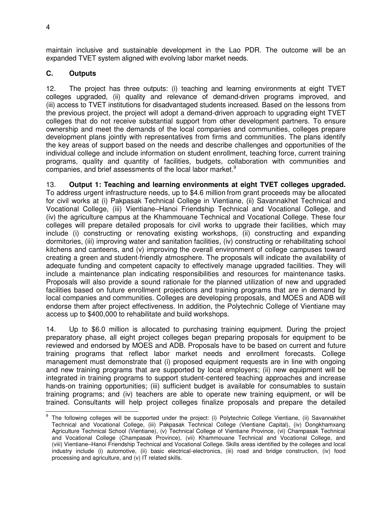maintain inclusive and sustainable development in the Lao PDR. The outcome will be an expanded TVET system aligned with evolving labor market needs.

# **C. Outputs**

12. The project has three outputs: (i) teaching and learning environments at eight TVET colleges upgraded, (ii) quality and relevance of demand-driven programs improved, and (iii) access to TVET institutions for disadvantaged students increased. Based on the lessons from the previous project, the project will adopt a demand-driven approach to upgrading eight TVET colleges that do not receive substantial support from other development partners. To ensure ownership and meet the demands of the local companies and communities, colleges prepare development plans jointly with representatives from firms and communities. The plans identify the key areas of support based on the needs and describe challenges and opportunities of the individual college and include information on student enrollment, teaching force, current training programs, quality and quantity of facilities, budgets, collaboration with communities and companies, and brief assessments of the local labor market.<sup>9</sup>

13. **Output 1: Teaching and learning environments at eight TVET colleges upgraded.** To address urgent infrastructure needs, up to \$4.6 million from grant proceeds may be allocated for civil works at (i) Pakpasak Technical College in Vientiane, (ii) Savannakhet Technical and Vocational College, (iii) Vientiane–Hanoi Friendship Technical and Vocational College, and (iv) the agriculture campus at the Khammouane Technical and Vocational College. These four colleges will prepare detailed proposals for civil works to upgrade their facilities, which may include (i) constructing or renovating existing workshops, (ii) constructing and expanding dormitories, (iii) improving water and sanitation facilities, (iv) constructing or rehabilitating school kitchens and canteens, and (v) improving the overall environment of college campuses toward creating a green and student-friendly atmosphere. The proposals will indicate the availability of adequate funding and competent capacity to effectively manage upgraded facilities. They will include a maintenance plan indicating responsibilities and resources for maintenance tasks. Proposals will also provide a sound rationale for the planned utilization of new and upgraded facilities based on future enrollment projections and training programs that are in demand by local companies and communities. Colleges are developing proposals, and MOES and ADB will endorse them after project effectiveness. In addition, the Polytechnic College of Vientiane may access up to \$400,000 to rehabilitate and build workshops.

14. Up to \$6.0 million is allocated to purchasing training equipment. During the project preparatory phase, all eight project colleges began preparing proposals for equipment to be reviewed and endorsed by MOES and ADB. Proposals have to be based on current and future training programs that reflect labor market needs and enrollment forecasts. College management must demonstrate that (i) proposed equipment requests are in line with ongoing and new training programs that are supported by local employers; (ii) new equipment will be integrated in training programs to support student-centered teaching approaches and increase hands-on training opportunities; (iii) sufficient budget is available for consumables to sustain training programs; and (iv) teachers are able to operate new training equipment, or will be trained. Consultants will help project colleges finalize proposals and prepare the detailed

 $\overline{a}$ 

<sup>9</sup> The following colleges will be supported under the project: (i) Polytechnic College Vientiane, (ii) Savannakhet Technical and Vocational College, (iii) Pakpasak Technical College (Vientiane Capital), (iv) Dongkhamxang Agriculture Technical School (Vientiane), (v) Technical College of Vientiane Province, (vi) Champasak Technical and Vocational College (Champasak Province), (vii) Khammouane Technical and Vocational College, and (viii) Vientiane–Hanoi Friendship Technical and Vocational College. Skills areas identified by the colleges and local industry include (i) automotive, (ii) basic electrical-electronics, (iii) road and bridge construction, (iv) food processing and agriculture, and (v) IT related skills.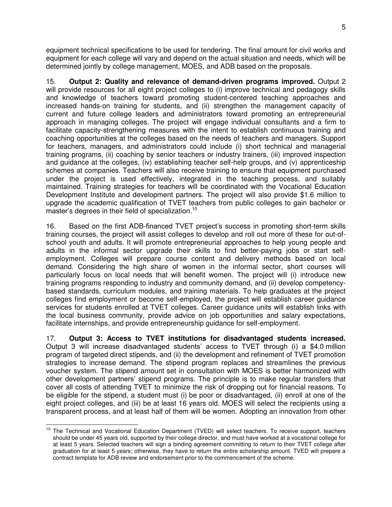equipment technical specifications to be used for tendering. The final amount for civil works and equipment for each college will vary and depend on the actual situation and needs, which will be determined jointly by college management, MOES, and ADB based on the proposals.

15. **Output 2: Quality and relevance of demand-driven programs improved.** Output 2 will provide resources for all eight project colleges to (i) improve technical and pedagogy skills and knowledge of teachers toward promoting student-centered teaching approaches and increased hands-on training for students, and (ii) strengthen the management capacity of current and future college leaders and administrators toward promoting an entrepreneurial approach in managing colleges. The project will engage individual consultants and a firm to facilitate capacity-strengthening measures with the intent to establish continuous training and coaching opportunities at the colleges based on the needs of teachers and managers. Support for teachers, managers, and administrators could include (i) short technical and managerial training programs, (ii) coaching by senior teachers or industry trainers, (iii) improved inspection and guidance at the colleges, (iv) establishing teacher self-help groups, and (v) apprenticeship schemes at companies. Teachers will also receive training to ensure that equipment purchased under the project is used effectively, integrated in the teaching process, and suitably maintained. Training strategies for teachers will be coordinated with the Vocational Education Development Institute and development partners. The project will also provide \$1.6 million to upgrade the academic qualification of TVET teachers from public colleges to gain bachelor or master's degrees in their field of specialization.<sup>10</sup>

16. Based on the first ADB-financed TVET project's success in promoting short-term skills training courses, the project will assist colleges to develop and roll out more of these for out-ofschool youth and adults. It will promote entrepreneurial approaches to help young people and adults in the informal sector upgrade their skills to find better-paying jobs or start selfemployment. Colleges will prepare course content and delivery methods based on local demand. Considering the high share of women in the informal sector, short courses will particularly focus on local needs that will benefit women. The project will (i) introduce new training programs responding to industry and community demand, and (ii) develop competencybased standards, curriculum modules, and training materials. To help graduates at the project colleges find employment or become self-employed, the project will establish career guidance services for students enrolled at TVET colleges. Career guidance units will establish links with the local business community, provide advice on job opportunities and salary expectations, facilitate internships, and provide entrepreneurship guidance for self-employment.

17. **Output 3: Access to TVET institutions for disadvantaged students increased.**  Output 3 will increase disadvantaged students' access to TVET through (i) a \$4.0 million program of targeted direct stipends, and (ii) the development and refinement of TVET promotion strategies to increase demand. The stipend program replaces and streamlines the previous voucher system. The stipend amount set in consultation with MOES is better harmonized with other development partners' stipend programs. The principle is to make regular transfers that cover all costs of attending TVET to minimize the risk of dropping out for financial reasons. To be eligible for the stipend, a student must (i) be poor or disadvantaged, (ii) enroll at one of the eight project colleges, and (iii) be at least 16 years old. MOES will select the recipients using a transparent process, and at least half of them will be women. Adopting an innovation from other

 $\overline{a}$ <sup>10</sup> The Technical and Vocational Education Department (TVED) will select teachers. To receive support, teachers should be under 45 years old, supported by their college director, and must have worked at a vocational college for at least 5 years. Selected teachers will sign a binding agreement committing to return to their TVET college after graduation for at least 5 years; otherwise, they have to return the entire scholarship amount. TVED will prepare a contract template for ADB review and endorsement prior to the commencement of the scheme.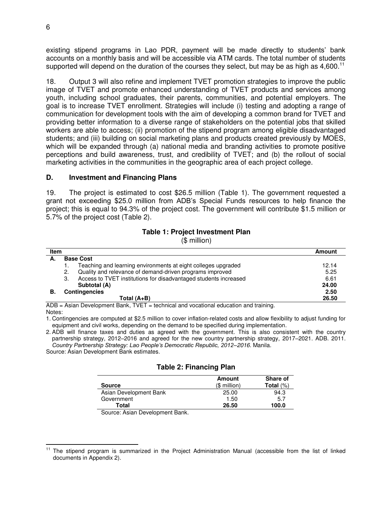existing stipend programs in Lao PDR, payment will be made directly to students' bank accounts on a monthly basis and will be accessible via ATM cards. The total number of students supported will depend on the duration of the courses they select, but may be as high as  $4,600$ .<sup>11</sup>

18. Output 3 will also refine and implement TVET promotion strategies to improve the public image of TVET and promote enhanced understanding of TVET products and services among youth, including school graduates, their parents, communities, and potential employers. The goal is to increase TVET enrollment. Strategies will include (i) testing and adopting a range of communication for development tools with the aim of developing a common brand for TVET and providing better information to a diverse range of stakeholders on the potential jobs that skilled workers are able to access; (ii) promotion of the stipend program among eligible disadvantaged students; and (iii) building on social marketing plans and products created previously by MOES, which will be expanded through (a) national media and branding activities to promote positive perceptions and build awareness, trust, and credibility of TVET; and (b) the rollout of social marketing activities in the communities in the geographic area of each project college.

#### **D. Investment and Financing Plans**

19. The project is estimated to cost \$26.5 million (Table 1). The government requested a grant not exceeding \$25.0 million from ADB's Special Funds resources to help finance the project; this is equal to 94.3% of the project cost. The government will contribute \$1.5 million or 5.7% of the project cost (Table 2).

## **Table 1: Project Investment Plan**

(\$ million)

| <b>Base Cost</b>                                                 |                                                                    |
|------------------------------------------------------------------|--------------------------------------------------------------------|
| Teaching and learning environments at eight colleges upgraded    | 12.14                                                              |
| Quality and relevance of demand-driven programs improved         | 5.25                                                               |
| Access to TVET institutions for disadvantaged students increased | 6.61                                                               |
| Subtotal (A)                                                     | 24.00                                                              |
|                                                                  | 2.50                                                               |
| Total $(A+B)$                                                    | 26.50                                                              |
|                                                                  | <b>Contingencies</b><br>.<br>.<br>$\sim$ .<br>-<br>_____<br>$\sim$ |

ADB = Asian Development Bank, TVET = technical and vocational education and training. Notes:

1. Contingencies are computed at \$2.5 million to cover inflation-related costs and allow flexibility to adjust funding for equipment and civil works, depending on the demand to be specified during implementation.

2. ADB will finance taxes and duties as agreed with the government. This is also consistent with the country partnership strategy, 2012–2016 and agreed for the new country partnership strategy, 2017–2021. ADB. 2011. *Country Partnership Strategy: Lao People's Democratic Republic, 2012–2016.* Manila.

Source: Asian Development Bank estimates.

#### **Table 2: Financing Plan**

| <b>Source</b>          | Amount<br>$($$ million $)$ | <b>Share of</b><br>Total $(\%)$ |
|------------------------|----------------------------|---------------------------------|
| Asian Development Bank | 25.00                      | 94.3                            |
| Government             | 1.50                       | 5.7                             |
| Total                  | 26.50                      | 100.0                           |

Source: Asian Development Bank.

j <sup>11</sup> The stipend program is summarized in the Project Administration Manual (accessible from the list of linked documents in Appendix 2).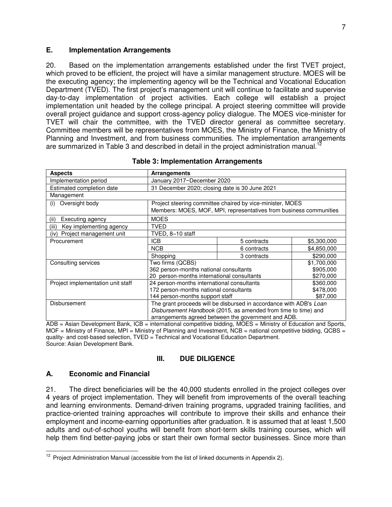#### **E. Implementation Arrangements**

20. Based on the implementation arrangements established under the first TVET project, which proved to be efficient, the project will have a similar management structure. MOES will be the executing agency; the implementing agency will be the Technical and Vocational Education Department (TVED). The first project's management unit will continue to facilitate and supervise day-to-day implementation of project activities. Each college will establish a project implementation unit headed by the college principal. A project steering committee will provide overall project guidance and support cross-agency policy dialogue. The MOES vice-minister for TVET will chair the committee, with the TVED director general as committee secretary. Committee members will be representatives from MOES, the Ministry of Finance, the Ministry of Planning and Investment, and from business communities. The implementation arrangements are summarized in Table 3 and described in detail in the project administration manual.<sup>12</sup>

| <b>Aspects</b>                    | <b>Arrangements</b>                                                |                                                                                                                                 |             |  |
|-----------------------------------|--------------------------------------------------------------------|---------------------------------------------------------------------------------------------------------------------------------|-------------|--|
| Implementation period             |                                                                    | January 2017-December 2020                                                                                                      |             |  |
| Estimated completion date         | 31 December 2020; closing date is 30 June 2021                     |                                                                                                                                 |             |  |
| Management                        |                                                                    |                                                                                                                                 |             |  |
| Oversight body<br>(i)             |                                                                    | Project steering committee chaired by vice-minister, MOES<br>Members: MOES, MOF, MPI, representatives from business communities |             |  |
| Executing agency<br>(ii)          | <b>MOES</b>                                                        |                                                                                                                                 |             |  |
| Key implementing agency<br>(iii)  | <b>TVED</b>                                                        |                                                                                                                                 |             |  |
| Project management unit<br>(iv)   | TVED, 8-10 staff                                                   |                                                                                                                                 |             |  |
| Procurement                       | ICB.                                                               | 5 contracts                                                                                                                     | \$5,300,000 |  |
|                                   | <b>NCB</b>                                                         | 6 contracts                                                                                                                     | \$4,850,000 |  |
|                                   | Shopping                                                           | 3 contracts                                                                                                                     | \$290,000   |  |
| Consulting services               | Two firms (QCBS)<br>\$1,700,000                                    |                                                                                                                                 |             |  |
|                                   | 362 person-months national consultants                             |                                                                                                                                 | \$905,000   |  |
|                                   | 20 person-months international consultants                         |                                                                                                                                 | \$270,000   |  |
| Project implementation unit staff | 24 person-months international consultants                         |                                                                                                                                 | \$360,000   |  |
|                                   | 172 person-months national consultants<br>\$478,000                |                                                                                                                                 |             |  |
|                                   | 144 person-months support staff<br>\$87,000                        |                                                                                                                                 |             |  |
| Disbursement                      | The grant proceeds will be disbursed in accordance with ADB's Loan |                                                                                                                                 |             |  |
|                                   | Disbursement Handbook (2015, as amended from time to time) and     |                                                                                                                                 |             |  |
|                                   | arrangements agreed between the government and ADB.                |                                                                                                                                 |             |  |

|  | <b>Table 3: Implementation Arrangements</b> |
|--|---------------------------------------------|
|--|---------------------------------------------|

ADB = Asian Development Bank, ICB = international competitive bidding, MOES = Ministry of Education and Sports, MOF = Ministry of Finance, MPI = Ministry of Planning and Investment,  $NCB$  = national competitive bidding, QCBS = quality- and cost-based selection, TVED = Technical and Vocational Education Department. Source: Asian Development Bank.

#### **III. DUE DILIGENCE**

#### **A. Economic and Financial**

21. The direct beneficiaries will be the 40,000 students enrolled in the project colleges over 4 years of project implementation. They will benefit from improvements of the overall teaching and learning environments. Demand-driven training programs, upgraded training facilities, and practice-oriented training approaches will contribute to improve their skills and enhance their employment and income-earning opportunities after graduation. It is assumed that at least 1,500 adults and out-of-school youths will benefit from short-term skills training courses, which will help them find better-paying jobs or start their own formal sector businesses. Since more than

 $\overline{a}$  $12$  Project Administration Manual (accessible from the list of linked documents in Appendix 2).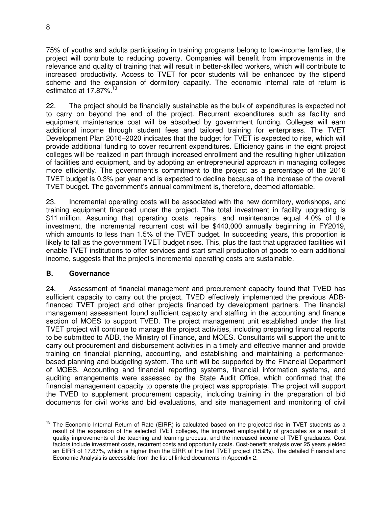75% of youths and adults participating in training programs belong to low-income families, the project will contribute to reducing poverty. Companies will benefit from improvements in the relevance and quality of training that will result in better-skilled workers, which will contribute to increased productivity. Access to TVET for poor students will be enhanced by the stipend scheme and the expansion of dormitory capacity. The economic internal rate of return is estimated at  $17.87\%$ <sup>13</sup>

22. The project should be financially sustainable as the bulk of expenditures is expected not to carry on beyond the end of the project. Recurrent expenditures such as facility and equipment maintenance cost will be absorbed by government funding. Colleges will earn additional income through student fees and tailored training for enterprises. The TVET Development Plan 2016–2020 indicates that the budget for TVET is expected to rise, which will provide additional funding to cover recurrent expenditures. Efficiency gains in the eight project colleges will be realized in part through increased enrollment and the resulting higher utilization of facilities and equipment, and by adopting an entrepreneurial approach in managing colleges more efficiently. The government's commitment to the project as a percentage of the 2016 TVET budget is 0.3% per year and is expected to decline because of the increase of the overall TVET budget. The government's annual commitment is, therefore, deemed affordable.

23. Incremental operating costs will be associated with the new dormitory, workshops, and training equipment financed under the project. The total investment in facility upgrading is \$11 million. Assuming that operating costs, repairs, and maintenance equal 4.0% of the investment, the incremental recurrent cost will be \$440,000 annually beginning in FY2019, which amounts to less than 1.5% of the TVET budget. In succeeding years, this proportion is likely to fall as the government TVET budget rises. This, plus the fact that upgraded facilities will enable TVET institutions to offer services and start small production of goods to earn additional income, suggests that the project's incremental operating costs are sustainable.

#### **B. Governance**

24. Assessment of financial management and procurement capacity found that TVED has sufficient capacity to carry out the project. TVED effectively implemented the previous ADBfinanced TVET project and other projects financed by development partners. The financial management assessment found sufficient capacity and staffing in the accounting and finance section of MOES to support TVED. The project management unit established under the first TVET project will continue to manage the project activities, including preparing financial reports to be submitted to ADB, the Ministry of Finance, and MOES. Consultants will support the unit to carry out procurement and disbursement activities in a timely and effective manner and provide training on financial planning, accounting, and establishing and maintaining a performancebased planning and budgeting system. The unit will be supported by the Financial Department of MOES. Accounting and financial reporting systems, financial information systems, and auditing arrangements were assessed by the State Audit Office, which confirmed that the financial management capacity to operate the project was appropriate. The project will support the TVED to supplement procurement capacity, including training in the preparation of bid documents for civil works and bid evaluations, and site management and monitoring of civil

 $\overline{a}$ <sup>13</sup> The Economic Internal Return of Rate (EIRR) is calculated based on the projected rise in TVET students as a result of the expansion of the selected TVET colleges, the improved employability of graduates as a result of quality improvements of the teaching and learning process, and the increased income of TVET graduates. Cost factors include investment costs, recurrent costs and opportunity costs. Cost-benefit analysis over 25 years yielded an EIRR of 17.87%, which is higher than the EIRR of the first TVET project (15.2%). The detailed Financial and Economic Analysis is accessible from the list of linked documents in Appendix 2.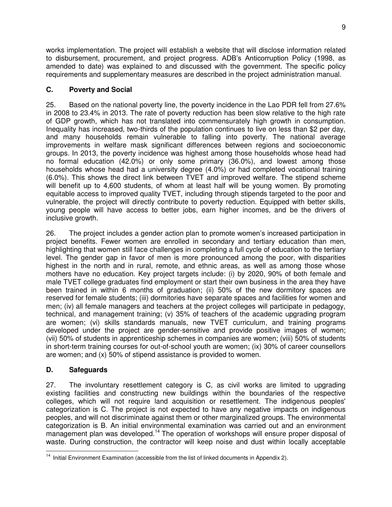works implementation. The project will establish a website that will disclose information related to disbursement, procurement, and project progress. ADB's Anticorruption Policy (1998, as amended to date) was explained to and discussed with the government. The specific policy requirements and supplementary measures are described in the project administration manual.

# **C. Poverty and Social**

25. Based on the national poverty line, the poverty incidence in the Lao PDR fell from 27.6% in 2008 to 23.4% in 2013. The rate of poverty reduction has been slow relative to the high rate of GDP growth, which has not translated into commensurately high growth in consumption. Inequality has increased, two-thirds of the population continues to live on less than \$2 per day, and many households remain vulnerable to falling into poverty. The national average improvements in welfare mask significant differences between regions and socioeconomic groups. In 2013, the poverty incidence was highest among those households whose head had no formal education (42.0%) or only some primary (36.0%), and lowest among those households whose head had a university degree (4.0%) or had completed vocational training (6.0%). This shows the direct link between TVET and improved welfare. The stipend scheme will benefit up to 4,600 students, of whom at least half will be young women. By promoting equitable access to improved quality TVET, including through stipends targeted to the poor and vulnerable, the project will directly contribute to poverty reduction. Equipped with better skills, young people will have access to better jobs, earn higher incomes, and be the drivers of inclusive growth.

26. The project includes a gender action plan to promote women's increased participation in project benefits. Fewer women are enrolled in secondary and tertiary education than men, highlighting that women still face challenges in completing a full cycle of education to the tertiary level. The gender gap in favor of men is more pronounced among the poor, with disparities highest in the north and in rural, remote, and ethnic areas, as well as among those whose mothers have no education. Key project targets include: (i) by 2020, 90% of both female and male TVET college graduates find employment or start their own business in the area they have been trained in within 6 months of graduation; (ii) 50% of the new dormitory spaces are reserved for female students; (iii) dormitories have separate spaces and facilities for women and men; (iv) all female managers and teachers at the project colleges will participate in pedagogy, technical, and management training; (v) 35% of teachers of the academic upgrading program are women; (vi) skills standards manuals, new TVET curriculum, and training programs developed under the project are gender-sensitive and provide positive images of women; (vii) 50% of students in apprenticeship schemes in companies are women; (viii) 50% of students in short-term training courses for out-of-school youth are women; (ix) 30% of career counsellors are women; and (x) 50% of stipend assistance is provided to women.

# **D. Safeguards**

27. The involuntary resettlement category is C, as civil works are limited to upgrading existing facilities and constructing new buildings within the boundaries of the respective colleges, which will not require land acquisition or resettlement. The indigenous peoples' categorization is C. The project is not expected to have any negative impacts on indigenous peoples, and will not discriminate against them or other marginalized groups. The environmental categorization is B. An initial environmental examination was carried out and an environment management plan was developed.<sup>14</sup> The operation of workshops will ensure proper disposal of waste. During construction, the contractor will keep noise and dust within locally acceptable

 $\overline{a}$  $14$  Initial Environment Examination (accessible from the list of linked documents in Appendix 2).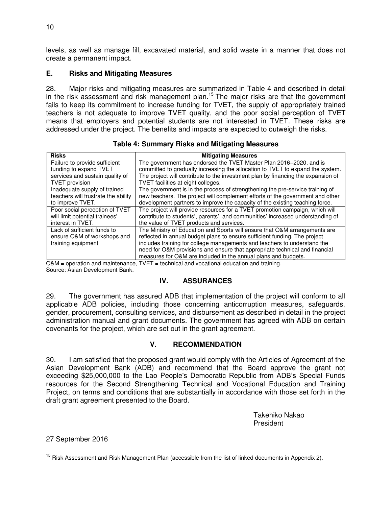levels, as well as manage fill, excavated material, and solid waste in a manner that does not create a permanent impact.

#### **E. Risks and Mitigating Measures**

28. Major risks and mitigating measures are summarized in Table 4 and described in detail in the risk assessment and risk management plan.<sup>15</sup> The major risks are that the government fails to keep its commitment to increase funding for TVET, the supply of appropriately trained teachers is not adequate to improve TVET quality, and the poor social perception of TVET means that employers and potential students are not interested in TVET. These risks are addressed under the project. The benefits and impacts are expected to outweigh the risks.

| <b>Risks</b>                        | <b>Mitigating Measures</b>                                                       |
|-------------------------------------|----------------------------------------------------------------------------------|
| Failure to provide sufficient       | The government has endorsed the TVET Master Plan 2016–2020, and is               |
| funding to expand TVET              | committed to gradually increasing the allocation to TVET to expand the system.   |
| services and sustain quality of     | The project will contribute to the investment plan by financing the expansion of |
| <b>TVET</b> provision               | TVET facilities at eight colleges.                                               |
| Inadequate supply of trained        | The government is in the process of strengthening the pre-service training of    |
| teachers will frustrate the ability | new teachers. The project will complement efforts of the government and other    |
| to improve TVET.                    | development partners to improve the capacity of the existing teaching force.     |
| Poor social perception of TVET      | The project will provide resources for a TVET promotion campaign, which will     |
| will limit potential trainees'      | contribute to students', parents', and communities' increased understanding of   |
| interest in TVET.                   | the value of TVET products and services.                                         |
| Lack of sufficient funds to         | The Ministry of Education and Sports will ensure that O&M arrangements are       |
| ensure O&M of workshops and         | reflected in annual budget plans to ensure sufficient funding. The project       |
| training equipment                  | includes training for college managements and teachers to understand the         |
|                                     | need for O&M provisions and ensure that appropriate technical and financial      |
|                                     | measures for O&M are included in the annual plans and budgets.                   |

**Table 4: Summary Risks and Mitigating Measures**

O&M = operation and maintenance, TVET = technical and vocational education and training.

Source: Asian Development Bank.

# **IV. ASSURANCES**

29. The government has assured ADB that implementation of the project will conform to all applicable ADB policies, including those concerning anticorruption measures, safeguards, gender, procurement, consulting services, and disbursement as described in detail in the project administration manual and grant documents. The government has agreed with ADB on certain covenants for the project, which are set out in the grant agreement.

#### **V. RECOMMENDATION**

30. I am satisfied that the proposed grant would comply with the Articles of Agreement of the Asian Development Bank (ADB) and recommend that the Board approve the grant not exceeding \$25,000,000 to the Lao People's Democratic Republic from ADB's Special Funds resources for the Second Strengthening Technical and Vocational Education and Training Project, on terms and conditions that are substantially in accordance with those set forth in the draft grant agreement presented to the Board.

> Takehiko Nakao President

27 September 2016

 $\overline{a}$ <sup>15</sup> Risk Assessment and Risk Management Plan (accessible from the list of linked documents in Appendix 2).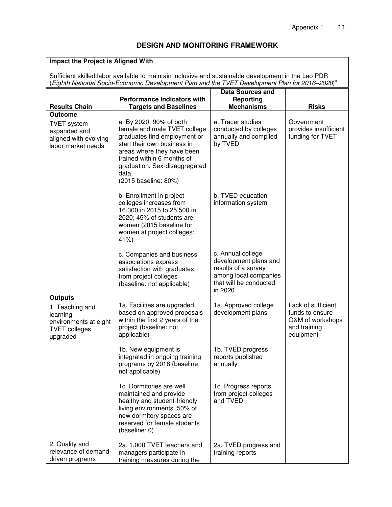## **DESIGN AND MONITORING FRAMEWORK**

# **Impact the Project is Aligned With**

Sufficient skilled labor available to maintain inclusive and sustainable development in the Lao PDR (*Eighth National Socio-Economic Development Plan and the TVET Development Plan for 2016–2020*) a

|                                                                                                            |                                                                                                                                                                                                                                                     | <b>Data Sources and</b>                                                                                                         |                                                                                        |
|------------------------------------------------------------------------------------------------------------|-----------------------------------------------------------------------------------------------------------------------------------------------------------------------------------------------------------------------------------------------------|---------------------------------------------------------------------------------------------------------------------------------|----------------------------------------------------------------------------------------|
|                                                                                                            | <b>Performance Indicators with</b>                                                                                                                                                                                                                  | Reporting                                                                                                                       |                                                                                        |
| <b>Results Chain</b>                                                                                       | <b>Targets and Baselines</b>                                                                                                                                                                                                                        | <b>Mechanisms</b>                                                                                                               | <b>Risks</b>                                                                           |
| <b>Outcome</b><br><b>TVET</b> system<br>expanded and<br>aligned with evolving<br>labor market needs        | a. By 2020, 90% of both<br>female and male TVET college<br>graduates find employment or<br>start their own business in<br>areas where they have been<br>trained within 6 months of<br>graduation. Sex-disaggregated<br>data<br>(2015 baseline: 80%) | a. Tracer studies<br>conducted by colleges<br>annually and compiled<br>by TVED                                                  | Government<br>provides insufficient<br>funding for TVET                                |
|                                                                                                            | b. Enrollment in project<br>colleges increases from<br>16,300 in 2015 to 25,500 in<br>2020; 45% of students are<br>women (2015 baseline for<br>women at project colleges:<br>41%                                                                    | b. TVED education<br>information system                                                                                         |                                                                                        |
|                                                                                                            | c. Companies and business<br>associations express<br>satisfaction with graduates<br>from project colleges<br>(baseline: not applicable)                                                                                                             | c. Annual college<br>development plans and<br>results of a survey<br>among local companies<br>that will be conducted<br>in 2020 |                                                                                        |
| <b>Outputs</b><br>1. Teaching and<br>learning<br>environments at eight<br><b>TVET colleges</b><br>upgraded | 1a. Facilities are upgraded,<br>based on approved proposals<br>within the first 2 years of the<br>project (baseline: not<br>applicable)                                                                                                             | 1a. Approved college<br>development plans                                                                                       | Lack of sufficient<br>funds to ensure<br>O&M of workshops<br>and training<br>equipment |
|                                                                                                            | 1b. New equipment is<br>integrated in ongoing training<br>programs by 2018 (baseline:<br>not applicable)                                                                                                                                            | 1b. TVED progress<br>reports published<br>annually                                                                              |                                                                                        |
|                                                                                                            | 1c. Dormitories are well<br>maintained and provide<br>healthy and student-friendly<br>living environments. 50% of<br>new dormitory spaces are<br>reserved for female students<br>(baseline: 0)                                                      | 1c. Progress reports<br>from project colleges<br>and TVED                                                                       |                                                                                        |
| 2. Quality and<br>relevance of demand-<br>driven programs                                                  | 2a. 1,000 TVET teachers and<br>managers participate in<br>training measures during the                                                                                                                                                              | 2a. TVED progress and<br>training reports                                                                                       |                                                                                        |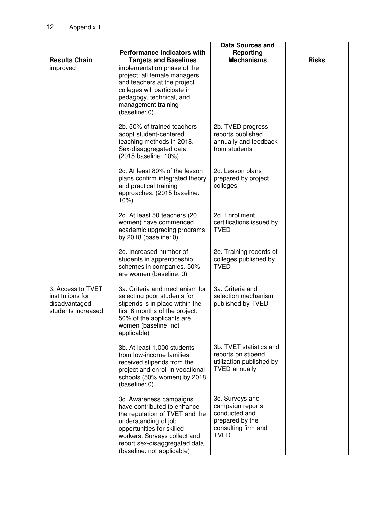|                                                                              |                                                                                                                                                                                                                                              | <b>Data Sources and</b>                                                                                       |              |
|------------------------------------------------------------------------------|----------------------------------------------------------------------------------------------------------------------------------------------------------------------------------------------------------------------------------------------|---------------------------------------------------------------------------------------------------------------|--------------|
|                                                                              | <b>Performance Indicators with</b>                                                                                                                                                                                                           | Reporting                                                                                                     |              |
| <b>Results Chain</b>                                                         | <b>Targets and Baselines</b>                                                                                                                                                                                                                 | <b>Mechanisms</b>                                                                                             | <b>Risks</b> |
| improved                                                                     | implementation phase of the<br>project; all female managers<br>and teachers at the project<br>colleges will participate in<br>pedagogy, technical, and<br>management training<br>(baseline: 0)                                               |                                                                                                               |              |
|                                                                              | 2b. 50% of trained teachers<br>adopt student-centered<br>teaching methods in 2018.<br>Sex-disaggregated data<br>(2015 baseline: 10%)                                                                                                         | 2b. TVED progress<br>reports published<br>annually and feedback<br>from students                              |              |
|                                                                              | 2c. At least 80% of the lesson<br>plans confirm integrated theory<br>and practical training<br>approaches. (2015 baseline:<br>$10\%)$                                                                                                        | 2c. Lesson plans<br>prepared by project<br>colleges                                                           |              |
|                                                                              | 2d. At least 50 teachers (20<br>women) have commenced<br>academic upgrading programs<br>by $2018$ (baseline: 0)                                                                                                                              | 2d. Enrollment<br>certifications issued by<br><b>TVED</b>                                                     |              |
|                                                                              | 2e. Increased number of<br>students in apprenticeship<br>schemes in companies. 50%<br>are women (baseline: 0)                                                                                                                                | 2e. Training records of<br>colleges published by<br><b>TVED</b>                                               |              |
| 3. Access to TVET<br>institutions for<br>disadvantaged<br>students increased | 3a. Criteria and mechanism for<br>selecting poor students for<br>stipends is in place within the<br>first 6 months of the project;<br>50% of the applicants are<br>women (baseline: not<br>applicable)                                       | 3a. Criteria and<br>selection mechanism<br>published by TVED                                                  |              |
|                                                                              | 3b. At least 1,000 students<br>from low-income families<br>received stipends from the<br>project and enroll in vocational<br>schools (50% women) by 2018<br>(baseline: 0)                                                                    | 3b. TVET statistics and<br>reports on stipend<br>utilization published by<br><b>TVED annually</b>             |              |
|                                                                              | 3c. Awareness campaigns<br>have contributed to enhance<br>the reputation of TVET and the<br>understanding of job<br>opportunities for skilled<br>workers. Surveys collect and<br>report sex-disaggregated data<br>(baseline: not applicable) | 3c. Surveys and<br>campaign reports<br>conducted and<br>prepared by the<br>consulting firm and<br><b>TVED</b> |              |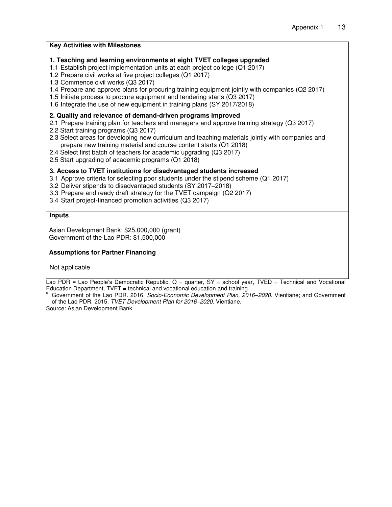| <b>Key Activities with Milestones</b>                                                                                                                                                                                                                                                                                                                                                                                                                                                                               |
|---------------------------------------------------------------------------------------------------------------------------------------------------------------------------------------------------------------------------------------------------------------------------------------------------------------------------------------------------------------------------------------------------------------------------------------------------------------------------------------------------------------------|
| 1. Teaching and learning environments at eight TVET colleges upgraded<br>1.1 Establish project implementation units at each project college (Q1 2017)<br>1.2 Prepare civil works at five project colleges (Q1 2017)<br>1.3 Commence civil works (Q3 2017)<br>1.4 Prepare and approve plans for procuring training equipment jointly with companies (Q2 2017)<br>1.5 Initiate process to procure equipment and tendering starts (Q3 2017)<br>1.6 Integrate the use of new equipment in training plans (SY 2017/2018) |
| 2. Quality and relevance of demand-driven programs improved<br>2.1 Prepare training plan for teachers and managers and approve training strategy (Q3 2017)<br>2.2 Start training programs (Q3 2017)<br>2.3 Select areas for developing new curriculum and teaching materials jointly with companies and<br>prepare new training material and course content starts (Q1 2018)<br>2.4 Select first batch of teachers for academic upgrading (Q3 2017)<br>2.5 Start upgrading of academic programs (Q1 2018)           |
| 3. Access to TVET institutions for disadvantaged students increased<br>3.1 Approve criteria for selecting poor students under the stipend scheme (Q1 2017)<br>3.2 Deliver stipends to disadvantaged students (SY 2017-2018)<br>3.3 Prepare and ready draft strategy for the TVET campaign (Q2 2017)<br>3.4 Start project-financed promotion activities (Q3 2017)                                                                                                                                                    |
| <b>Inputs</b>                                                                                                                                                                                                                                                                                                                                                                                                                                                                                                       |
| Asian Development Bank: \$25,000,000 (grant)<br>Government of the Lao PDR: \$1,500,000                                                                                                                                                                                                                                                                                                                                                                                                                              |
| <b>Assumptions for Partner Financing</b>                                                                                                                                                                                                                                                                                                                                                                                                                                                                            |
| Not applicable                                                                                                                                                                                                                                                                                                                                                                                                                                                                                                      |
| Lao PDR = Lao People's Democratic Republic, $Q =$ quarter, $SY =$ school year, TVED = Technical and Vocational                                                                                                                                                                                                                                                                                                                                                                                                      |

Education Department, TVET = technical and vocational education and training. a Government of the Lao PDR. 2016. *Socio-Economic Development Plan, 2016–2020*. Vientiane; and Government of the Lao PDR. 2015. *TVET Development Plan for 2016–2020*. Vientiane.

Source: Asian Development Bank.